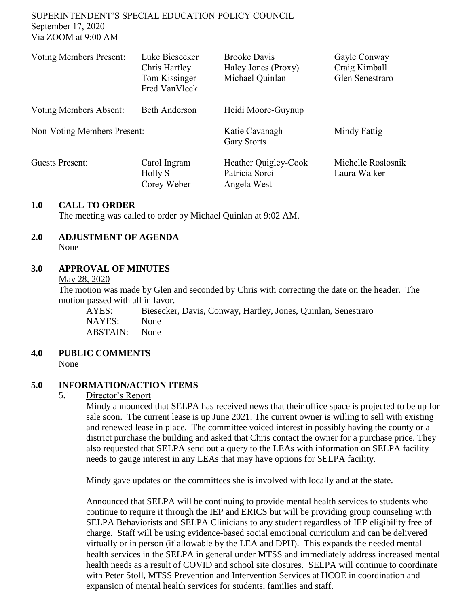SUPERINTENDENT'S SPECIAL EDUCATION POLICY COUNCIL September 17, 2020 Via ZOOM at 9:00 AM

| <b>Voting Members Present:</b> | Luke Biesecker<br>Chris Hartley<br>Tom Kissinger<br>Fred VanVleck | <b>Brooke Davis</b><br>Haley Jones (Proxy)<br>Michael Quinlan | Gayle Conway<br>Craig Kimball<br>Glen Senestraro |
|--------------------------------|-------------------------------------------------------------------|---------------------------------------------------------------|--------------------------------------------------|
| <b>Voting Members Absent:</b>  | <b>Beth Anderson</b>                                              | Heidi Moore-Guynup                                            |                                                  |
| Non-Voting Members Present:    |                                                                   | Katie Cavanagh<br><b>Gary Storts</b>                          | Mindy Fattig                                     |
| <b>Guests Present:</b>         | Carol Ingram<br>Holly S<br>Corey Weber                            | Heather Quigley-Cook<br>Patricia Sorci<br>Angela West         | Michelle Roslosnik<br>Laura Walker               |

#### **1.0 CALL TO ORDER**

The meeting was called to order by Michael Quinlan at 9:02 AM.

# **2.0 ADJUSTMENT OF AGENDA**

None

#### **3.0 APPROVAL OF MINUTES**

May 28, 2020

The motion was made by Glen and seconded by Chris with correcting the date on the header. The motion passed with all in favor.

AYES: Biesecker, Davis, Conway, Hartley, Jones, Quinlan, Senestraro NAYES: None ABSTAIN: None

#### **4.0 PUBLIC COMMENTS**

None

#### **5.0 INFORMATION/ACTION ITEMS**

#### 5.1 Director's Report

Mindy announced that SELPA has received news that their office space is projected to be up for sale soon. The current lease is up June 2021. The current owner is willing to sell with existing and renewed lease in place. The committee voiced interest in possibly having the county or a district purchase the building and asked that Chris contact the owner for a purchase price. They also requested that SELPA send out a query to the LEAs with information on SELPA facility needs to gauge interest in any LEAs that may have options for SELPA facility.

Mindy gave updates on the committees she is involved with locally and at the state.

Announced that SELPA will be continuing to provide mental health services to students who continue to require it through the IEP and ERICS but will be providing group counseling with SELPA Behaviorists and SELPA Clinicians to any student regardless of IEP eligibility free of charge. Staff will be using evidence-based social emotional curriculum and can be delivered virtually or in person (if allowable by the LEA and DPH). This expands the needed mental health services in the SELPA in general under MTSS and immediately address increased mental health needs as a result of COVID and school site closures. SELPA will continue to coordinate with Peter Stoll, MTSS Prevention and Intervention Services at HCOE in coordination and expansion of mental health services for students, families and staff.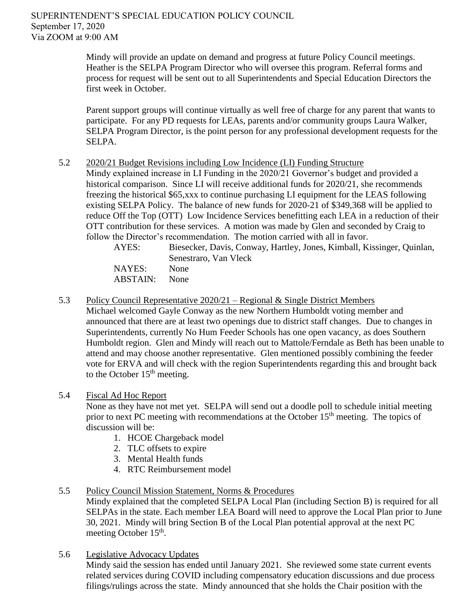Mindy will provide an update on demand and progress at future Policy Council meetings. Heather is the SELPA Program Director who will oversee this program. Referral forms and process for request will be sent out to all Superintendents and Special Education Directors the first week in October.

Parent support groups will continue virtually as well free of charge for any parent that wants to participate. For any PD requests for LEAs, parents and/or community groups Laura Walker, SELPA Program Director, is the point person for any professional development requests for the SELPA.

### 5.2 2020/21 Budget Revisions including Low Incidence (LI) Funding Structure

Mindy explained increase in LI Funding in the 2020/21 Governor's budget and provided a historical comparison. Since LI will receive additional funds for 2020/21, she recommends freezing the historical \$65,xxx to continue purchasing LI equipment for the LEAS following existing SELPA Policy. The balance of new funds for 2020-21 of \$349,368 will be applied to reduce Off the Top (OTT) Low Incidence Services benefitting each LEA in a reduction of their OTT contribution for these services. A motion was made by Glen and seconded by Craig to follow the Director's recommendation. The motion carried with all in favor.

| AYES:    | Biesecker, Davis, Conway, Hartley, Jones, Kimball, Kissinger, Quinlan, |
|----------|------------------------------------------------------------------------|
|          | Senestraro, Van Vleck                                                  |
| NAYES:   | <b>None</b>                                                            |
| ABSTAIN: | <b>None</b>                                                            |

5.3 Policy Council Representative 2020/21 – Regional & Single District Members Michael welcomed Gayle Conway as the new Northern Humboldt voting member and announced that there are at least two openings due to district staff changes. Due to changes in Superintendents, currently No Hum Feeder Schools has one open vacancy, as does Southern Humboldt region. Glen and Mindy will reach out to Mattole/Ferndale as Beth has been unable to attend and may choose another representative. Glen mentioned possibly combining the feeder vote for ERVA and will check with the region Superintendents regarding this and brought back to the October  $15<sup>th</sup>$  meeting.

# 5.4 Fiscal Ad Hoc Report

None as they have not met yet. SELPA will send out a doodle poll to schedule initial meeting prior to next PC meeting with recommendations at the October 15<sup>th</sup> meeting. The topics of discussion will be:

- 1. HCOE Chargeback model
- 2. TLC offsets to expire
- 3. Mental Health funds
- 4. RTC Reimbursement model

# 5.5 Policy Council Mission Statement, Norms & Procedures

Mindy explained that the completed SELPA Local Plan (including Section B) is required for all SELPAs in the state. Each member LEA Board will need to approve the Local Plan prior to June 30, 2021. Mindy will bring Section B of the Local Plan potential approval at the next PC meeting October 15<sup>th</sup>.

5.6 Legislative Advocacy Updates

Mindy said the session has ended until January 2021. She reviewed some state current events related services during COVID including compensatory education discussions and due process filings/rulings across the state. Mindy announced that she holds the Chair position with the